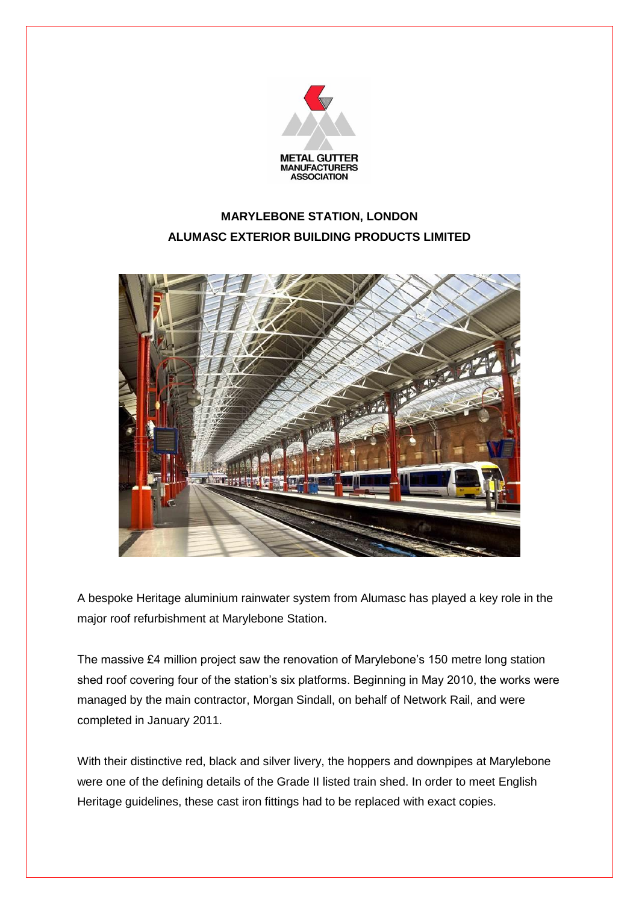

## **MARYLEBONE STATION, LONDON ALUMASC EXTERIOR BUILDING PRODUCTS LIMITED**



A bespoke Heritage aluminium rainwater system from Alumasc has played a key role in the major roof refurbishment at Marylebone Station.

The massive £4 million project saw the renovation of Marylebone's 150 metre long station shed roof covering four of the station's six platforms. Beginning in May 2010, the works were managed by the main contractor, Morgan Sindall, on behalf of Network Rail, and were completed in January 2011.

With their distinctive red, black and silver livery, the hoppers and downpipes at Marylebone were one of the defining details of the Grade II listed train shed. In order to meet English Heritage guidelines, these cast iron fittings had to be replaced with exact copies.